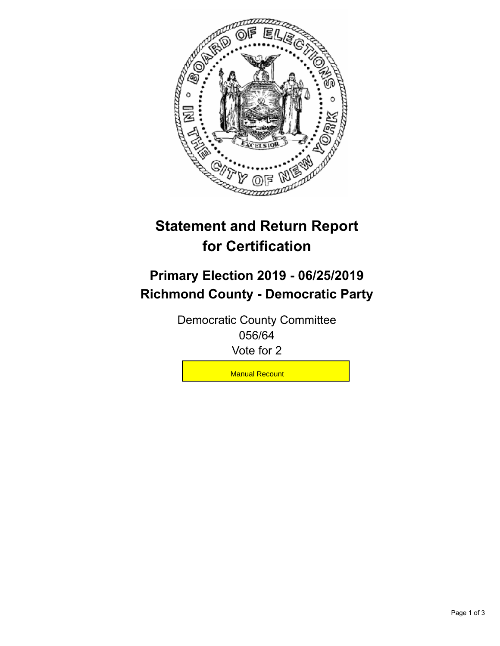

## **Statement and Return Report for Certification**

## **Primary Election 2019 - 06/25/2019 Richmond County - Democratic Party**

Democratic County Committee 056/64 Vote for 2

**Manual Recount**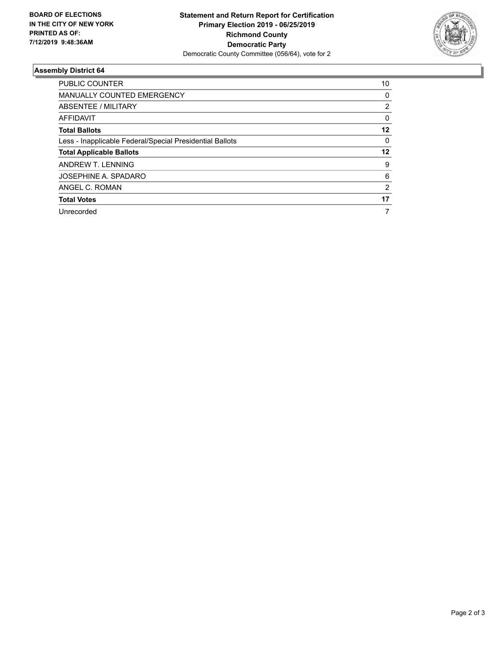

## **Assembly District 64**

| <b>PUBLIC COUNTER</b>                                    | 10             |
|----------------------------------------------------------|----------------|
| <b>MANUALLY COUNTED EMERGENCY</b>                        | 0              |
| ABSENTEE / MILITARY                                      | 2              |
| <b>AFFIDAVIT</b>                                         | 0              |
| <b>Total Ballots</b>                                     | 12             |
| Less - Inapplicable Federal/Special Presidential Ballots | 0              |
| <b>Total Applicable Ballots</b>                          | 12             |
| ANDREW T. LENNING                                        | 9              |
| JOSEPHINE A. SPADARO                                     | 6              |
| ANGEL C. ROMAN                                           | $\overline{2}$ |
| <b>Total Votes</b>                                       | 17             |
| Unrecorded                                               | 7              |